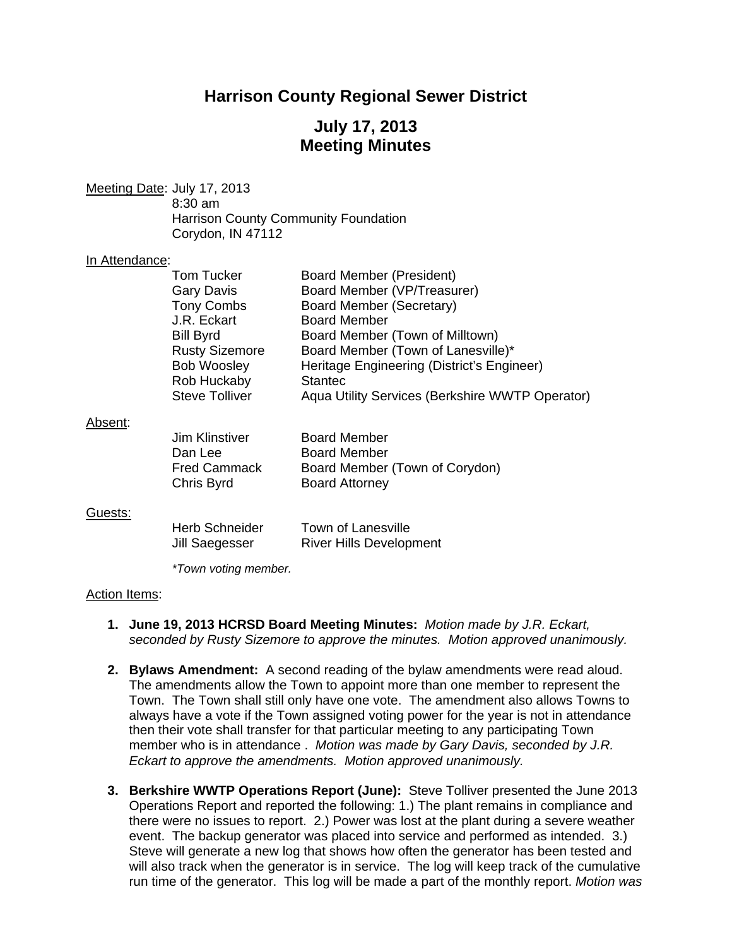# **Harrison County Regional Sewer District**

# **July 17, 2013 Meeting Minutes**

Meeting Date: July 17, 2013 8:30 am Harrison County Community Foundation Corydon, IN 47112

#### In Attendance:

|         | Tom Tucker                  | <b>Board Member (President)</b>                 |
|---------|-----------------------------|-------------------------------------------------|
|         | <b>Gary Davis</b>           | Board Member (VP/Treasurer)                     |
|         | Tony Combs                  | Board Member (Secretary)                        |
|         | J.R. Eckart                 | <b>Board Member</b>                             |
|         | <b>Bill Byrd</b>            | Board Member (Town of Milltown)                 |
|         | <b>Rusty Sizemore</b>       | Board Member (Town of Lanesville)*              |
|         | <b>Bob Woosley</b>          | Heritage Engineering (District's Engineer)      |
|         | Rob Huckaby                 | <b>Stantec</b>                                  |
|         | <b>Steve Tolliver</b>       | Aqua Utility Services (Berkshire WWTP Operator) |
| Absent: |                             |                                                 |
|         | <b>Jim Klinstiver</b>       | <b>Board Member</b>                             |
|         | Dan Lee                     | <b>Board Member</b>                             |
|         | <b>Fred Cammack</b>         | Board Member (Town of Corydon)                  |
|         | Chris Byrd                  | <b>Board Attorney</b>                           |
| Guests: |                             |                                                 |
|         | Herb Schneider              | <b>Town of Lanesville</b>                       |
|         | Jill Saegesser              | <b>River Hills Development</b>                  |
|         |                             |                                                 |
|         | <i>*Town voting member.</i> |                                                 |

#### Action Items:

- **1. June 19, 2013 HCRSD Board Meeting Minutes:** *Motion made by J.R. Eckart, seconded by Rusty Sizemore to approve the minutes. Motion approved unanimously.*
- **2. Bylaws Amendment:** A second reading of the bylaw amendments were read aloud. The amendments allow the Town to appoint more than one member to represent the Town. The Town shall still only have one vote. The amendment also allows Towns to always have a vote if the Town assigned voting power for the year is not in attendance then their vote shall transfer for that particular meeting to any participating Town member who is in attendance . *Motion was made by Gary Davis, seconded by J.R. Eckart to approve the amendments. Motion approved unanimously.*
- **3. Berkshire WWTP Operations Report (June):** Steve Tolliver presented the June 2013 Operations Report and reported the following: 1.) The plant remains in compliance and there were no issues to report. 2.) Power was lost at the plant during a severe weather event. The backup generator was placed into service and performed as intended. 3.) Steve will generate a new log that shows how often the generator has been tested and will also track when the generator is in service. The log will keep track of the cumulative run time of the generator. This log will be made a part of the monthly report. *Motion was*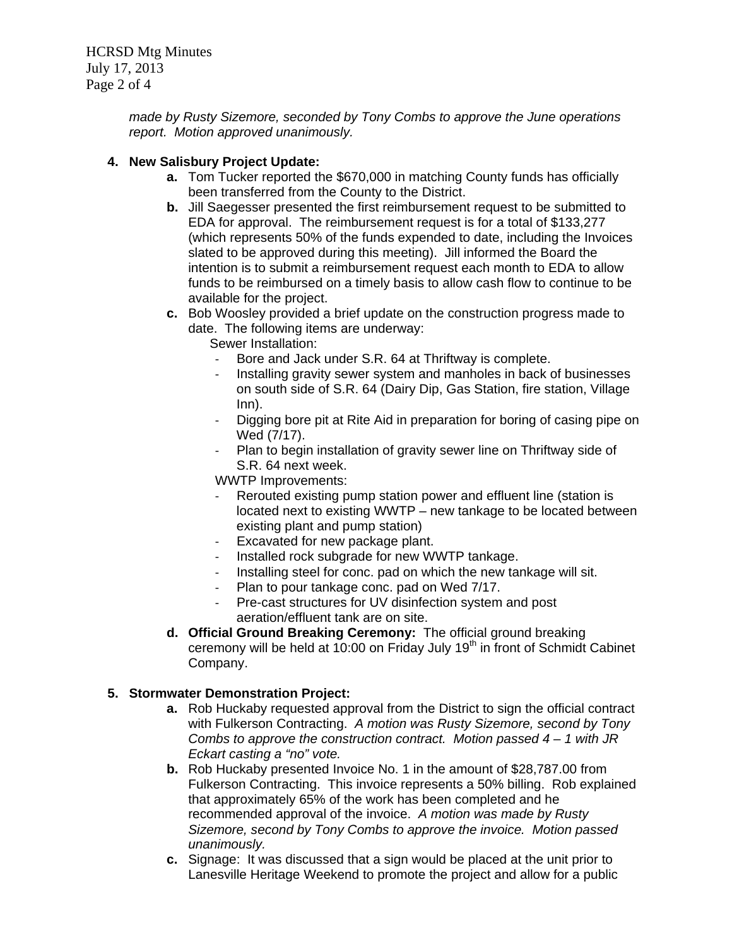HCRSD Mtg Minutes July 17, 2013 Page 2 of 4

> *made by Rusty Sizemore, seconded by Tony Combs to approve the June operations report. Motion approved unanimously.*

## **4. New Salisbury Project Update:**

- **a.** Tom Tucker reported the \$670,000 in matching County funds has officially been transferred from the County to the District.
- **b.** Jill Saegesser presented the first reimbursement request to be submitted to EDA for approval. The reimbursement request is for a total of \$133,277 (which represents 50% of the funds expended to date, including the Invoices slated to be approved during this meeting). Jill informed the Board the intention is to submit a reimbursement request each month to EDA to allow funds to be reimbursed on a timely basis to allow cash flow to continue to be available for the project.
- **c.** Bob Woosley provided a brief update on the construction progress made to date. The following items are underway:
	- Sewer Installation:
	- ‐ Bore and Jack under S.R. 64 at Thriftway is complete.
	- ‐ Installing gravity sewer system and manholes in back of businesses on south side of S.R. 64 (Dairy Dip, Gas Station, fire station, Village Inn).
	- ‐ Digging bore pit at Rite Aid in preparation for boring of casing pipe on Wed (7/17).
	- ‐ Plan to begin installation of gravity sewer line on Thriftway side of S.R. 64 next week.

WWTP Improvements:

- ‐ Rerouted existing pump station power and effluent line (station is located next to existing WWTP – new tankage to be located between existing plant and pump station)
- ‐ Excavated for new package plant.
- ‐ Installed rock subgrade for new WWTP tankage.
- ‐ Installing steel for conc. pad on which the new tankage will sit.
- ‐ Plan to pour tankage conc. pad on Wed 7/17.
- ‐ Pre-cast structures for UV disinfection system and post aeration/effluent tank are on site.
- **d. Official Ground Breaking Ceremony:** The official ground breaking ceremony will be held at 10:00 on Friday July 19<sup>th</sup> in front of Schmidt Cabinet Company.

### **5. Stormwater Demonstration Project:**

- **a.** Rob Huckaby requested approval from the District to sign the official contract with Fulkerson Contracting. *A motion was Rusty Sizemore, second by Tony Combs to approve the construction contract. Motion passed 4 – 1 with JR Eckart casting a "no" vote.*
- **b.** Rob Huckaby presented Invoice No. 1 in the amount of \$28,787.00 from Fulkerson Contracting. This invoice represents a 50% billing. Rob explained that approximately 65% of the work has been completed and he recommended approval of the invoice. *A motion was made by Rusty Sizemore, second by Tony Combs to approve the invoice. Motion passed unanimously.*
- **c.** Signage: It was discussed that a sign would be placed at the unit prior to Lanesville Heritage Weekend to promote the project and allow for a public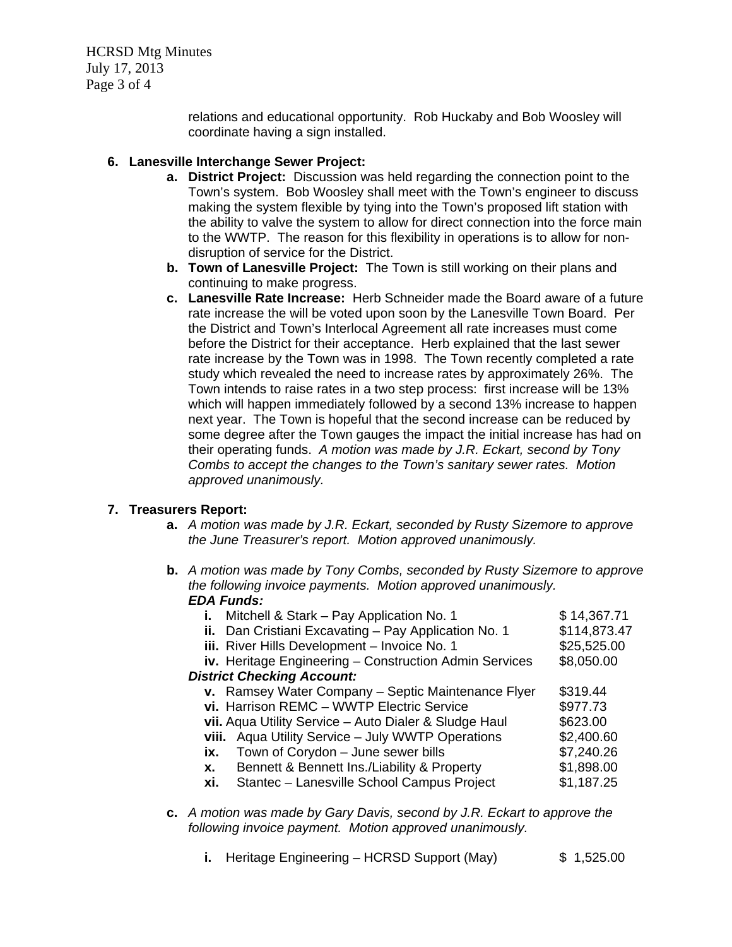HCRSD Mtg Minutes July 17, 2013 Page 3 of 4

> relations and educational opportunity. Rob Huckaby and Bob Woosley will coordinate having a sign installed.

### **6. Lanesville Interchange Sewer Project:**

- **a. District Project:** Discussion was held regarding the connection point to the Town's system. Bob Woosley shall meet with the Town's engineer to discuss making the system flexible by tying into the Town's proposed lift station with the ability to valve the system to allow for direct connection into the force main to the WWTP. The reason for this flexibility in operations is to allow for nondisruption of service for the District.
- **b. Town of Lanesville Project:** The Town is still working on their plans and continuing to make progress.
- **c. Lanesville Rate Increase:** Herb Schneider made the Board aware of a future rate increase the will be voted upon soon by the Lanesville Town Board. Per the District and Town's Interlocal Agreement all rate increases must come before the District for their acceptance. Herb explained that the last sewer rate increase by the Town was in 1998. The Town recently completed a rate study which revealed the need to increase rates by approximately 26%. The Town intends to raise rates in a two step process: first increase will be 13% which will happen immediately followed by a second 13% increase to happen next year. The Town is hopeful that the second increase can be reduced by some degree after the Town gauges the impact the initial increase has had on their operating funds. *A motion was made by J.R. Eckart, second by Tony Combs to accept the changes to the Town's sanitary sewer rates. Motion approved unanimously.*

### **7. Treasurers Report:**

- **a.** *A motion was made by J.R. Eckart, seconded by Rusty Sizemore to approve the June Treasurer's report. Motion approved unanimously.*
- **b.** *A motion was made by Tony Combs, seconded by Rusty Sizemore to approve the following invoice payments. Motion approved unanimously. EDA Funds:*

| i.                                | Mitchell & Stark - Pay Application No. 1                      | \$14,367.71  |  |
|-----------------------------------|---------------------------------------------------------------|--------------|--|
|                                   | ii. Dan Cristiani Excavating - Pay Application No. 1          | \$114,873.47 |  |
|                                   | iii. River Hills Development - Invoice No. 1                  | \$25,525.00  |  |
|                                   | <b>iv.</b> Heritage Engineering – Construction Admin Services | \$8,050.00   |  |
| <b>District Checking Account:</b> |                                                               |              |  |
|                                   | v. Ramsey Water Company - Septic Maintenance Flyer            | \$319.44     |  |
|                                   | vi. Harrison REMC - WWTP Electric Service                     | \$977.73     |  |
|                                   | vii. Aqua Utility Service - Auto Dialer & Sludge Haul         | \$623.00     |  |
|                                   | viii. Aqua Utility Service - July WWTP Operations             | \$2,400.60   |  |
| ix.                               | Town of Corydon - June sewer bills                            | \$7,240.26   |  |
| X.                                | Bennett & Bennett Ins./Liability & Property                   | \$1,898.00   |  |
| xi.                               | Stantec - Lanesville School Campus Project                    | \$1,187.25   |  |
|                                   |                                                               |              |  |

- **c.** *A motion was made by Gary Davis, second by J.R. Eckart to approve the following invoice payment. Motion approved unanimously.* 
	- **i.** Heritage Engineering HCRSD Support (May)  $\qquad$  \$ 1,525.00